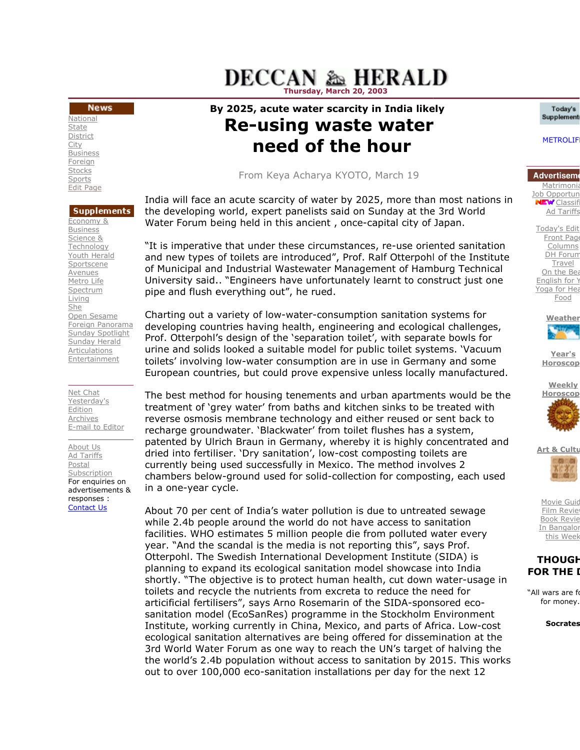## **DECCAN & HERALD** Thursday, March 20, 2003

## **News**

**National State** District City **Business Foreign** Stocks Sports Edit Page

### **Supplements** Economy & **Business** Science & Technology Youth Herald Sportscene Avenues Metro Life Spectrum Living She Open Sesame Foreign Panorama Sunday Spotlight Sunday Herald Articulations **Entertainment**

Net Chat Yesterday's Edition Archives E-mail to Editor

About Us Ad Tariffs Postal Subscription For enquiries on advertisements & responses : Contact Us

# By 2025, acute water scarcity in India likely Re-using waste water using need of the hour

From Keya Acharya KYOTO, March 19

India will face an acute scarcity of water by 2025, more than most nations in<br>the developing world, expert panelists said on Sunday at the 3rd World<br>Water Forum being held in this ancient , once-capital city of Japan. the developing world, expert panelists said on Sunday at the 3rd World the developing world, expert panelists said on Sunday at the 3rd World<br>Water Forum being held in this ancient , once-capital city of Japan.

"It is imperative that under these circumstances, re-use oriented sanitation and new types of toilets are introduced", Prof. Ralf Otterpohl of the Institute of Municipal and Industrial Wastewater Management of Hamburg Technical University said.. "Engineers have unfortunately learnt to construct just one pipe and flush everything out", he rued. and Industrial Wastewater Management of Hamburg Techn<br>iid.. "Engineers have unfortunately learnt to construct just<br>:h everything out", he rued.

Charting out a variety of low-water-consumption sanitation systems for developing countries having health, engineering and ecological challenges, countries having ecological challenges, Prof. Otterpohl's design of the 'separation toilet', with separate bowls for urine and solids looked a suitable model for public toilet systems. 'Vacuum toilets' involving low-water consumption are in use in Germany and some European countries, but could prove expensive unless locally manufactured. imperative that under these circumstances, re-use oriented sanitatio<br>ew types of toilets are introduced", Prof. Ralf Otterpohl of the Institu<br>nicipal and Industrial Wastewater Management of Hamburg Technica<br>rsity said.. "E

The best method for housing tenements and urban apartments would be the treatment of 'grey water' from baths and kitchen sinks to be treated with reverse osmosis membrane technology and either reused or sent back to recharge groundwater. 'Blackwater' from toilet flushes has a system, reverse osmosis membrane technology and either reused or sent back to<br>recharge groundwater. `Blackwater' from toilet flushes has a system,<br>patented by Ulrich Braun in Germany, whereby it is highly concentrated and dried into fertiliser. 'Dry sanitation', low-cost composting toilets are currently being used successfully in Mexico. The method involves 2 The best method for housing tenements and urban apartments would be the<br>treatment of 'grey water' from baths and kitchen sinks to be treated with<br>reverse osmosis membrane technology and either reused or sent back to<br>rechar in a one-year cycle. year cycle.

About 70 per cent of India's water pollution is due to untreated sewage while 2.4b people around the world do not have access to sanitation facilities. WHO estimates 5 million people die from polluted water every year. "And the scandal is the media is not reporting this", says Prof. Otterpohl. The Swedish International Development Institute (SIDA) is planning to expand its ecological sanitation model showcase into India year. "And the scandal is the media is not reporting this", says Prof.<br>Otterpohl. The Swedish International Development Institute (SIDA) is<br>planning to expand its ecological sanitation model showcase into India<br>shortly. "T toilets and recycle the nutrients from excreta to reduce the need for toilets and recycle the nutrients from excreta to reduce the need for<br>articificial fertilisers", says Arno Rosemarin of the SIDA-sponsored ecosanitation model (EcoSanRes) programme in the Stockholm Environment sanitation model (EcoSanRes) programme in the Stockholm Environment<br>Institute, working currently in China, Mexico, and parts of Africa. Low-cost ecological sanitation alternatives are being offered for dissemination at the 3rd World Water Forum as one way to reach the UN's target of halving the ecological sanitation alternatives are being offered for dissemination at the<br>3rd World Water Forum as one way to reach the UN's target of halving the<br>the world's 2.4b population without access to sanitation by 2015. This out to over 100,000 eco-sanitation installations per day for the next 12 people around the world do not have access to sanitation<br>THO estimates 5 million people die from polluted water of<br>the scandal is the media is not reporting this", says Pro<br>The Swedish International Development Institute ( **CONTROLLY AND THE SET CONTROLLY AND THE SET CONDUCT THE SET CONDUCT THE SET CONDUCT AND SET CONTROLLY AND THE SET CONTROLLY AND THE SET CONTROLLY (THE THE SET CONTROLLY AND THE SET CONTROLLY AND THE SET CONTROLLY AND THE** 

#### Today's Supplement

Matrimonia Job Opportun  $E^{\mathbf{w}}$  Classif Ad Tariffs

Today's Edit Front Page Columns DH Forum Travel On the Bea English for  $\lambda$ Yoga for Hea Food



Year's **Horoscop** 





Movie Guid Film Revie **Book Revie** In Bangalor this Week

## **THOUGH FOR THE I**

"All wars are fought for money.

Socrates